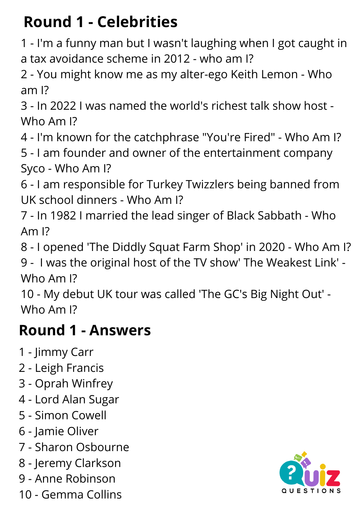# **Round 1 - Celebrities**

- I'm a funny man but I wasn't laughing when I got caught in a tax avoidance scheme in 2012 - who am I?
- You might know me as my alter-ego Keith Lemon Who am I?
- In 2022 I was named the world's richest talk show host Who Am I?
- I'm known for the catchphrase "You're Fired" Who Am I?
- I am founder and owner of the entertainment company Syco - Who Am I?
- I am responsible for Turkey Twizzlers being banned from UK school dinners - Who Am I?
- In 1982 I married the lead singer of Black Sabbath Who Am I?
- I opened 'The Diddly Squat Farm Shop' in 2020 Who Am I?
- I was the original host of the TV show' The Weakest Link' Who Am I?
- My debut UK tour was called 'The GC's Big Night Out' Who Am I?

## **Round 1 - Answers**

- Jimmy Carr
- Leigh Francis
- Oprah Winfrey
- Lord Alan Sugar
- Simon Cowell
- Jamie Oliver
- Sharon Osbourne
- Jeremy Clarkson
- Anne Robinson
- Gemma Collins

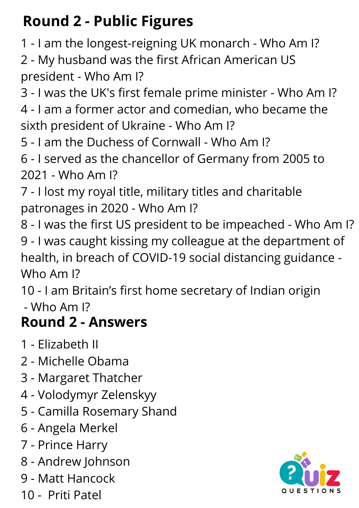# **Round 2 - Public Figures**

- I am the longest-reigning UK monarch - Who Am I?

 - My husband was the first African American US president - Who Am I?

 - I was the UK's first female prime minister - Who Am I? - I am a former actor and comedian, who became the sixth president of Ukraine - Who Am I?

- I am the Duchess of Cornwall Who Am I?
- I served as the chancellor of Germany from 2005 to - Who Am I?
- I lost my royal title, military titles and charitable patronages in 2020 - Who Am I?
- I was the first US president to be impeached Who Am I? - I was caught kissing my colleague at the department of health, in breach of COVID-19 social distancing guidance - Who Am I?

 - I am Britain's first home secretary of Indian origin - Who Am I?

## **Round 2 - Answers**

- Elizabeth II
- Michelle Obama
- Margaret Thatcher
- Volodymyr Zelenskyy
- Camilla Rosemary Shand
- Angela Merkel
- Prince Harry
- Andrew Johnson
- Matt Hancock
- Priti Patel

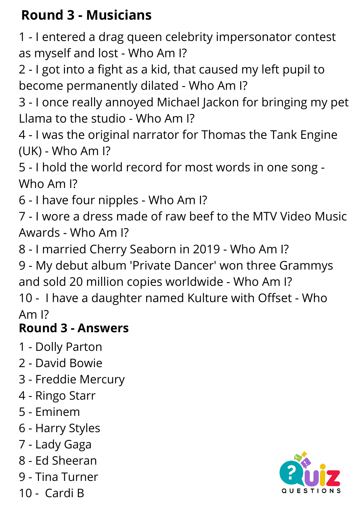### **Round 3 - Musicians**

 - I entered a drag queen celebrity impersonator contest as myself and lost - Who Am I?

 - I got into a fight as a kid, that caused my left pupil to become permanently dilated - Who Am I?

 - I once really annoyed Michael Jackon for bringing my pet Llama to the studio - Who Am I?

 - I was the original narrator for Thomas the Tank Engine (UK) - Who Am I?

 - I hold the world record for most words in one song - Who Am I?

- I have four nipples - Who Am I?

 - I wore a dress made of raw beef to the MTV Video Music Awards - Who Am I?

- I married Cherry Seaborn in 2019 - Who Am I?

 - My debut album 'Private Dancer' won three Grammys and sold 20 million copies worldwide - Who Am I?

 - I have a daughter named Kulture with Offset - Who Am I?

#### **Round 3 - Answers**

- Dolly Parton
- David Bowie
- Freddie Mercury
- Ringo Starr
- Eminem
- Harry Styles
- Lady Gaga
- Ed [Sheeran](https://www.google.com/search?sxsrf=APq-WBv06G2NU558k3XtccdiLLXG4iCrgA:1649257562433&q=Ed+Sheeran&stick=H4sIAAAAAAAAAOPgE-LVT9c3NEw2Mak0TS8oUuLSz9U3SLcsLjLM1pLITrbSL0jNL8hJBVJFxfl5VsUF-aXFqYtYuVxTFIIzUlOLEvN2sDLuYmfiYAAAFp61FEwAAAA&sa=X&ved=2ahUKEwj-npuZ2__2AhUHi1wKHQ_4BYUQmxMoAXoECGgQAw)
- Tina Turner
- Cardi B

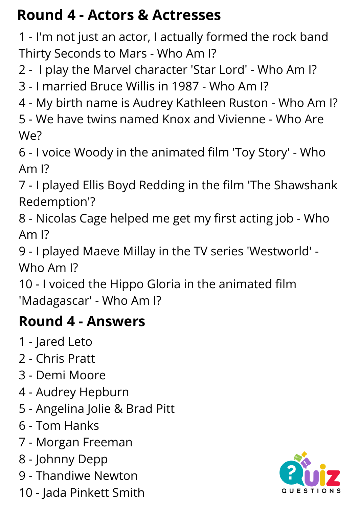## **Round 4 - Actors & Actresses**

 - I'm not just an actor, I actually formed the rock band Thirty Seconds to Mars - Who Am I?

- I play the Marvel character 'Star Lord' - Who Am I?

- I married Bruce Willis in 1987 - Who Am I?

- My birth name is Audrey Kathleen Ruston - Who Am I?

 - We have twins named Knox and Vivienne - Who Are We?

 - I voice Woody in the animated film 'Toy Story' - Who Am I?

 - I played Ellis Boyd Redding in the film 'The Shawshank Redemption'?

 - Nicolas Cage helped me get my first acting job - Who Am I?

 - I played Maeve Millay in the TV series 'Westworld' - Who Am I?

 - I voiced the Hippo Gloria in the animated film 'Madagascar' - Who Am I?

### **Round 4 - Answers**

- Jared Leto
- Chris Pratt
- Demi Moore
- Audrey Hepburn
- Angelina Jolie & Brad Pitt
- Tom Hanks
- Morgan Freeman
- Johnny Depp
- Thandiwe Newton
- Jada Pinkett Smith